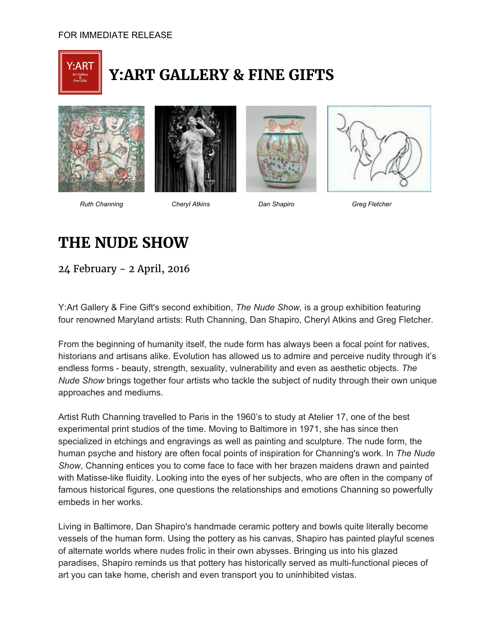

## **Y:ART GALLERY & FINE GIFTS**









*Ruth Channing Cheryl Atkins Dan Shapiro Greg Fletcher*

## **THE NUDE SHOW**

24 February - 2 April, 2016

Y:Art Gallery & Fine Gift's second exhibition, *The Nude Show,* is a group exhibition featuring four renowned Maryland artists: Ruth Channing, Dan Shapiro, Cheryl Atkins and Greg Fletcher.

From the beginning of humanity itself, the nude form has always been a focal point for natives, historians and artisans alike. Evolution has allowed us to admire and perceive nudity through it's endless forms beauty, strength, sexuality, vulnerability and even as aesthetic objects. *The Nude Show* brings together four artists who tackle the subject of nudity through their own unique approaches and mediums.

Artist Ruth Channing travelled to Paris in the 1960's to study at Atelier 17, one of the best experimental print studios of the time. Moving to Baltimore in 1971, she has since then specialized in etchings and engravings as well as painting and sculpture. The nude form, the human psyche and history are often focal points of inspiration for Channing's work. In *The Nude Show*, Channing entices you to come face to face with her brazen maidens drawn and painted with Matisse-like fluidity. Looking into the eyes of her subjects, who are often in the company of famous historical figures, one questions the relationships and emotions Channing so powerfully embeds in her works.

Living in Baltimore, Dan Shapiro's handmade ceramic pottery and bowls quite literally become vessels of the human form. Using the pottery as his canvas, Shapiro has painted playful scenes of alternate worlds where nudes frolic in their own abysses. Bringing us into his glazed paradises, Shapiro reminds us that pottery has historically served as multi-functional pieces of art you can take home, cherish and even transport you to uninhibited vistas.